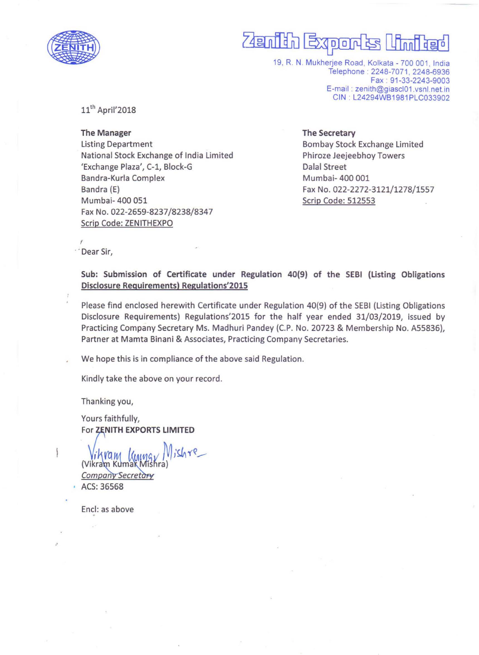

# Zamilih Export

19, R. N. Mukherjee Road, Kolkata - 700 001, India Telephone: 2248-7071, 2248-6936 Fax : 91-33-2243-9003 E-mail : zenith@giascI01 .vsnl.net.in CIN : L24294WB1981 PLC033902

 $11<sup>th</sup>$  April'2018

The Manager Listing Department National Stock Exchange of India Limited 'Exchange Plaza', C-1, Block-G Bandra-Kurla Complex Bandra (E) Mumbai- 400 051 Fax No. 022-2659-8237/8238/8347 Scrip Code: ZENITHEXPO

#### The Secretary

Bombay Stock Exchange Limited Phiroze Jeejeebhoy Towers Dalal Street Mumbai- 400 001 Fax No. 022-2272-3121/1278/1557 Scrip Code: 512553

 $\overline{r}$ .' Dear Sir,

> Sub: Submission of Certificate under Regulation 40(9) of the SEBI (Listing Obligations Disclosure Requirements) Regulations'2015

> Please find enclosed herewith Certificate under Regulation 40(9) of the SEBI (Listing Obligations Disclosure Requirements) Regulations' 2015 for the half year ended 31/03/2019, issued by Practicing Company Secretary Ms. Madhuri Pandey (C.P. No. 20723 & Membership No. A55836), Partner at Mamta Binani & Associates, Practicing Company Secretaries.

We hope this is in compliance of the above said Regulation.

Kindly take the above on your record.

Thanking you,

Yours faithfully, For ZENITH EXPORTS LIMITED

 $jishr$ e (Vikram Kumar

**Company Secretary** • ACS: 36568

Encl: as above

.'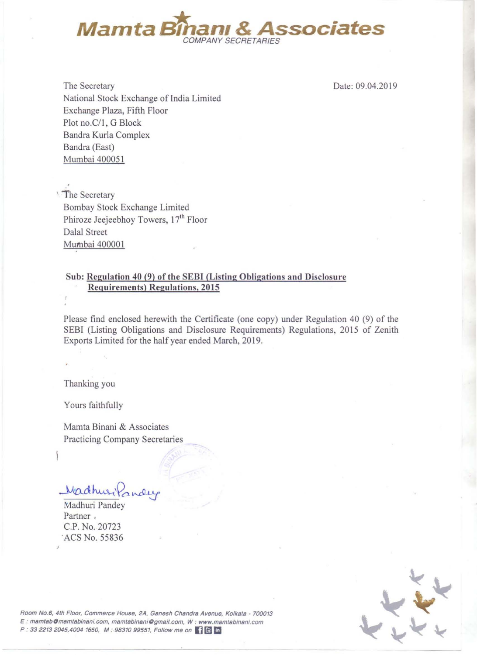

The Secretary National Stock Exchange of India Limited Exchange Plaza, Fifth Floor Plot no.C/1, G Block Bandra Kurla Complex Bandra (East) Mumbai 400051

Date: 09.04.2019

• The Secretary Bombay Stock Exchange Limited Phiroze Jeejeebhoy Towers, 17'h Floor Dalal Street Mumbai 400001

### Sub: Regulation 40 (9) of the SEBI (Listing Obligations and Disclosure Requirements) Regulations, 2015

Please find enclosed herewith the Certificate (one copy) under Regulation 40 (9) of the SEBI (Listing Obligations and Disclosure Requirements) Regulations, 2015 of Zenith Exports Limited for the half year ended March, 2019.

Thanking you

Yours faithfully

Mamta Binani & Associates Practicing Company Secretaries

Wadhur Kondue

Madhuri Pandey Partner . C.P. No. 20723 'ACS No. 55836

.'



**Room No.6, 4th Floor, Commerce House, 2A. Ganash Chandra Avenue, Kolkats - 700013**  E : **mamtsbOmamtabinsni. com, mamtabinaniOgmail.com, W : www.mamtabinani.com**  P : 33 2213 2045,4004 1650, M : 98310 99551, Follow me on **III** E In